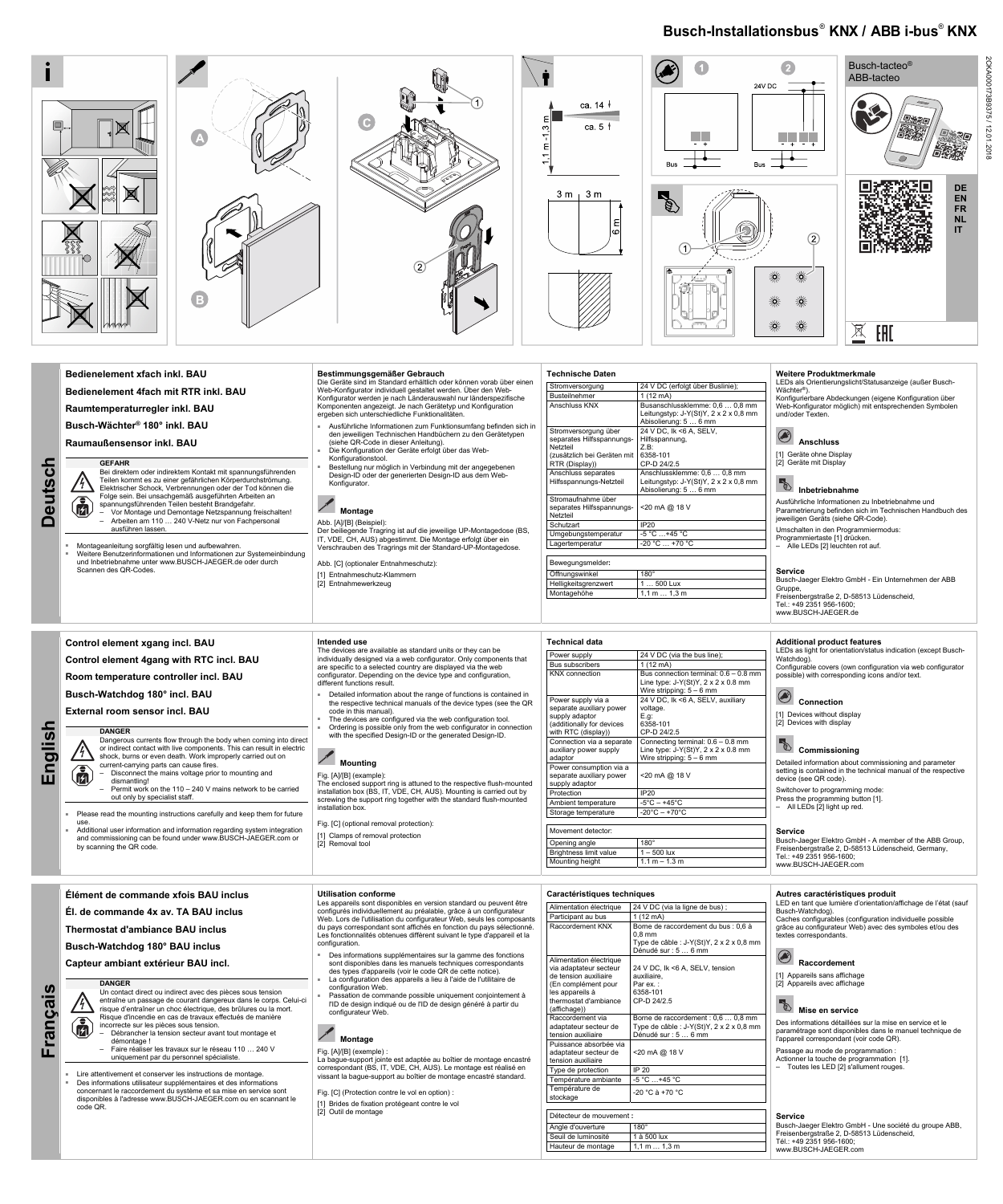## **Busch-Installationsbus**® **KNX / ABB i-bus**® **KNX**

2CKA000173B9375 / 12.01.2018

**Deutsch Deutscl** 

偏



**Raumaußensensor inkl. BAU** 

**GEFAHR** 

Bei direktem oder indirektem Kontakt mit spannungsführenden

Teilen kommt es zu einer gefährlichen Körperdurchströmung. Elektrischer Schock, Verbrennungen oder der Tod können die Folge sein. Bei unsachgemäß ausgeführten Arbeiten an spannungsführenden Teilen besteht Brandgefahr. – Vor Montage und Demontage Netzspannung freischalten!

– Arbeiten am 110 … 240 V-Netz nur von Fachpersonal ausführen lassen.

- Montageanleitung sorgfältig lesen und aufbewahren. ■ Weitere Benutzerinformationen und Informationen zur Systemeinbindung und Inbetriebnahme unter www.BUSCH-JAEGER.de oder durch Scannen des QR-Codes.
- Ausführliche Informationen zum Funktionsumfang befinden sich in den jeweiligen Technischen Handbüchern zu den Gerätetypen
- (siehe QR-Code in dieser Anleitung). Die Konfiguration der Geräte erfolgt über das Web-
- Konfigurationstool.
- Bestellung nur möglich in Verbindung mit der angegebenen Design-ID oder der generierten Design-ID aus dem Web-Konfigurator.

## **Montage**

### Abb. [A]/[B] (Beispiel):

Der beiliegende Tragring ist auf die jeweilige UP-Montagedose (BS, IT, VDE, CH, AUS) abgestimmt. Die Montage erfolgt über ein Verschrauben des Tragrings mit der Standard-UP-Montagedose.

Abb. [C] (optionaler Entnahmeschutz): [1] Entnahmeschutz-Klammern [2] Entnahmewerkzeug

Detailed information about the range of functions is contained in the respective technical manuals of the device types (see the QR

| Stromversorgung                                                                                                | 24 V DC (erfolgt über Buslinie);                                                                              |
|----------------------------------------------------------------------------------------------------------------|---------------------------------------------------------------------------------------------------------------|
| <b>Busteilnehmer</b>                                                                                           | $1(12 \text{ mA})$                                                                                            |
| Anschluss KNX                                                                                                  | Busanschlussklemme: 0,6  0,8 mm<br>Leitungstyp: J-Y(St)Y, $2 \times 2 \times 0.8$ mm<br>Abisolierung: 5  6 mm |
| Stromversorgung über<br>separates Hilfsspannungs-<br>Netzteil<br>(zusätzlich bei Geräten mit<br>RTR (Display)) | 24 V DC, lk <6 A, SELV,<br>Hilfsspannung,<br>Z.B.<br>6358-101<br>CP-D 24/2.5                                  |
| Anschluss separates<br>Hilfsspannungs-Netzteil                                                                 | Anschlussklemme: 0,6  0,8 mm<br>Leitungstyp: J-Y(St)Y, $2 \times 2 \times 0.8$ mm<br>Abisolierung: 5  6 mm    |
| Stromaufnahme über<br>separates Hilfsspannungs-<br>Netzteil                                                    | <20 mA @ 18 V                                                                                                 |
| Schutzart                                                                                                      | IP20                                                                                                          |
| Umgebungstemperatur                                                                                            | $-5^{\circ}$ C  +45 $^{\circ}$ C                                                                              |
| Lagertemperatur                                                                                                | $-20 °C  +70 °C$                                                                                              |

The devices are configured via the web configuration tool. Ordering is possible only from the web configurator in connection with the specified Design-ID or the generated Design-ID.

**Mounting** Fig. [A]/[B] (example):

| Demedaudonieraei.    |                 |
|----------------------|-----------------|
| Öffnungswinkel       | $180^\circ$     |
| Helligkeitsgrenzwert | 1  500 Lux      |
| Montagehöhe          | 1, 1, m 1, 3, m |
|                      |                 |

Power supply 24 V DC (via the bus line)

Bus connection terminal:  $0.6 - 0.8$  mm Line type: J-Y(St)Y, 2 x 2 x 0.8 mm Wire stripping: 5 – 6 mm

Power supply via a separate auxiliary power supply adaptor (additionally for devices with RTC (display))

 **Anschluss**  [1] Geräte ohne Display [2] Geräte mit Display

 **Inbetriebnahme** 

Storage temperature Movement detector:

Protection | IP20

Opening angle 180° Brightness limit value  $1 - 500$  lux Mounting height  $\sqrt{1.1 \text{ m} - 1.3 \text{ m}}$ 

Ambient temperature  $-5^{\circ}C - +45^{\circ}C$ <br>Storage temperature  $-20^{\circ}C - +70^{\circ}C$ 

Ausführliche Informationen zu Inbetriebnahme und Parametrierung befinden sich im Technischen Handbuch des

jeweiligen Geräts (siehe QR-Code). Umschalten in den Programmiermodus: Programmiertaste [1] drücken. – Alle LEDs [2] leuchten rot auf.

**Service** 

Busch-Jaeger Elektro GmbH - Ein Unternehmen der ABB

Gruppe,

**Service**  Busch-Jaeger Elektro GmbH - A member of the ABB Group, Freisenbergstraße 2, D-58513 Lüdenscheid, Germany, Tel.: +49 2351 956-1600; www.BUSCH-JAEGER.com

Freisenbergstraße 2, D-58513 Lüdenscheid,

Tel.: +49 2351 956-1600; www.BUSCH-JAEGER.de

**English** 

**Control element xgang incl. BAU** 

**Control element 4gang with RTC incl. BAU Room temperature controller incl. BAU** 

**Busch-Watchdog 180° incl. BAU External room sensor incl. BAU** 

**DANGER** 

by scanning the QR code.

Dangerous currents flow through the body when coming into direct or indirect contact with live components. This can result in electric shock, burns or even death. Work improperly carried out on

current-carrying parts can cause fires.

– Disconnect the mains voltage prior to mounting and

Please read the mounting instructions carefully and keep them for future

dismantling!

– Permit work on the 110 – 240 V mains network to be carried

out only by specialist staff.

use.

偏

■ Additional user information and information regarding system integration and commissioning can be found under www.BUSCH-JAEGER.com or

**Intended use** 

The devices are available as standard units or they can be individually designed via a web configurator. Only components that are specific to a selected country are displayed via the web configurator. Depending on the device type and configuration,

different functions result.

code in this manual).

The enclosed support ring is attuned to the respective flush-mounted installation box (BS, IT, VDE, CH, AUS). Mounting is carried out by screwing the support ring together with the standard flush-mounted

> [1] Appareils sans affichage [2] Appareils avec affichage

# **Mise en service**

installation box.

Fig. [C] (optional removal protection): [1] Clamps of removal protection

[2] Removal tool

**Technical data** 

24 V DC, Ik <6 A, SELV, auxiliary

voltage. E.g: 6358-101 CP-D 24/2.5

Connection via a separate auxiliary power supply

adaptor

Connecting terminal: 0.6 – 0.8 mm Line type: J-Y(St)Y, 2 x 2 x 0.8 mm Wire stripping: 5 – 6 mm

Power consumption via a separate auxiliary power supply adaptor

<20 mA @ 18 V

Bus subscribers 1 (12 mA)<br>KNX connection Bus conne

### **Additional product features**  LEDs as light for orientation/status indication (except Busch-Watchdog).

Configurable covers (own configuration via web configurator

possible) with corresponding icons and/or text.

### **Connection**

[1] Devices without display [2] Devices with display

# **R**<br>**Commissioning**

Detailed information about commissioning and parameter setting is contained in the technical manual of the respective device (see QR code).

- Switchover to programming mode: Press the programming button [1].
- All LEDs [2] light up red.

**Français** 

### **Élément de commande xfois BAU inclus**

#### **Él. de commande 4x av. TA BAU inclus**

**Thermostat d'ambiance BAU inclus** 

**Busch-Watchdog 180° BAU inclus** 

**Capteur ambiant extérieur BAU incl.** 

### **DANGER**

Un contact direct ou indirect avec des pièces sous tension entraîne un passage de courant dangereux dans le corps. Celui-ci risque d'entraîner un choc électrique, des brûlures ou la mort. Risque d'incendie en cas de travaux effectués de manière  $\bigcirc$ incorrecte sur les pièces sous tension.

**Utilisation conforme** 

- Débrancher la tension secteur avant tout montage et démontage !
	- Faire réaliser les travaux sur le réseau 110 … 240 V uniquement par du personnel spécialiste.
- Lire attentivement et conserver les instructions de montage.<br>Des informations utilisateur supplémentaires et des informations
- concernant le raccordement du système et sa mise en service sont disponibles à l'adresse www.BUSCH-JAEGER.com ou en scannant le code QR.
- Des informations supplémentaires sur la gamme des fonctions sont disponibles dans les manuels techniques correspondants des types d'appareils (voir le code QR de cette notice).
- La configuration des appareils a lieu à l'aide de l'utilitaire de configuration Web.
- Passation de commande possible uniquement conjointement à l'ID de design indiqué ou de l'ID de design généré à partir du configurateur Web.

# **Montage**

Les appareils sont disponibles en version standard ou peuvent être configurés individuellement au préalable, grâce à un configurateur Web. Lors de l'utilisation du configurateur Web, seuls les composant du pays correspondant sont affichés en fonction du pays sélectionné. Les fonctionnalités obtenues diffèrent suivant le type d'appareil et la configuration.

Fig. [A]/[B] (exemple) :

La bague-support jointe est adaptée au boîtier de montage encastré correspondant (BS, IT, VDE, CH, AUS). Le montage est réalisé en vissant la bague-support au boîtier de montage encastré standard.

Fig. [C] (Protection contre le vol en option) :

[1] Brides de fixation protégeant contre le vol [2] Outil de montage

**Caractéristiques techniques** 

|        | Alimentation électrique                                                                                                                                       | 24 V DC (via la ligne de bus);                                                                                                      |
|--------|---------------------------------------------------------------------------------------------------------------------------------------------------------------|-------------------------------------------------------------------------------------------------------------------------------------|
| .<br>S | Participant au bus                                                                                                                                            | 1(12 mA)                                                                                                                            |
| ì.     | Raccordement KNX                                                                                                                                              | Borne de raccordement du bus : 0,6 à<br>$0.8$ mm<br>Type de câble : $J-Y(St)Y$ , $2 \times 2 \times 0.8$ mm<br>Dénudé sur : 5  6 mm |
|        | Alimentation électrique<br>via adaptateur secteur<br>de tension auxiliaire<br>(En complément pour<br>les appareils à<br>thermostat d'ambiance<br>(affichage)) | 24 V DC, Ik <6 A, SELV, tension<br>auxiliaire.<br>Par ex.:<br>6358-101<br>CP-D 24/2.5                                               |
|        | Raccordement via<br>adaptateur secteur de<br>tension auxiliaire                                                                                               | Borne de raccordement : 0,6  0,8 mm<br>Type de câble : J-Y(St)Y, 2 x 2 x 0,8 mm<br>Dénudé sur : 5  6 mm                             |
|        | Puissance absorbée via<br>adaptateur secteur de<br>tension auxiliaire                                                                                         | <20 mA @ 18 V                                                                                                                       |
|        | Type de protection                                                                                                                                            | IP 20                                                                                                                               |
|        | Température ambiante                                                                                                                                          | $-5^{\circ}$ C  +45 $^{\circ}$ C                                                                                                    |
|        | Température de<br>stockage                                                                                                                                    | $-20$ °C à +70 °C                                                                                                                   |
|        |                                                                                                                                                               |                                                                                                                                     |
|        | Détecteur de mouvement :                                                                                                                                      |                                                                                                                                     |
|        | Angle d'ouverture                                                                                                                                             | $180^\circ$                                                                                                                         |
|        | Seuil de luminosité                                                                                                                                           | 1 à 500 lux                                                                                                                         |
|        | Hauteur de montage                                                                                                                                            | $1, 1 \text{ m} \dots 1, 3 \text{ m}$                                                                                               |
|        |                                                                                                                                                               |                                                                                                                                     |

**Autres caractéristiques produit**  LED en tant que lumière d'orientation/affichage de l'état (sauf

Busch-Watchdog).

Caches configurables (configuration individuelle possible grâce au configurateur Web) avec des symboles et/ou des textes correspondants.

# **Raccordement**

Des informations détaillées sur la mise en service et le paramétrage sont disponibles dans le manuel technique de l'appareil correspondant (voir code QR).

Passage au mode de programmation : Actionner la touche de programmation [1]. – Toutes les LED [2] s'allument rouges.

#### **Service**

Busch-Jaeger Elektro GmbH - Une société du groupe ABB, Freisenbergstraße 2, D-58513 Lüdenscheid, Tél.: +49 2351 956-1600; www.BUSCH-JAEGER.com